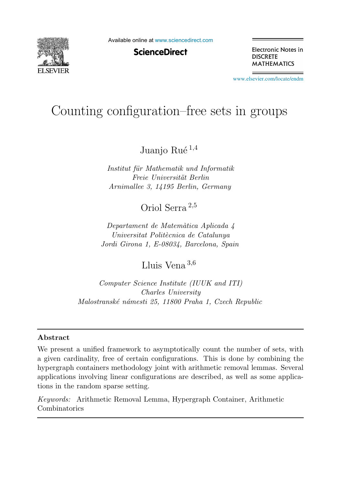

Available online at [www.sciencedirect.com](http://www.sciencedirect.com)

**ScienceDirect** 

Electronic Notes in **DISCRETE MATHEMATICS** 

[www.elsevier.com/locate/endm](http://www.elsevier.com/locate/endm)

# Counting configuration–free sets in groups

Juanjo Rué  $^{1,4}$ 

*Institut f¨ur Mathematik und Informatik Freie Universit¨at Berlin Arnimallee 3, 14195 Berlin, Germany*

Oriol Serra <sup>2</sup>,<sup>5</sup>

*Departament de Matem`atica Aplicada 4 Universitat Polit`ecnica de Catalunya Jordi Girona 1, E-08034, Barcelona, Spain*

Lluis Vena <sup>3</sup>,<sup>6</sup>

*Computer Science Institute (IUUK and ITI) Charles University Malostransk´e n´amesti 25, 11800 Praha 1, Czech Republic*

#### Abstract

We present a unified framework to asymptotically count the number of sets, with a given cardinality, free of certain configurations. This is done by combining the hypergraph containers methodology joint with arithmetic removal lemmas. Several applications involving linear configurations are described, as well as some applications in the random sparse setting.

*Keywords:* Arithmetic Removal Lemma, Hypergraph Container, Arithmetic Combinatorics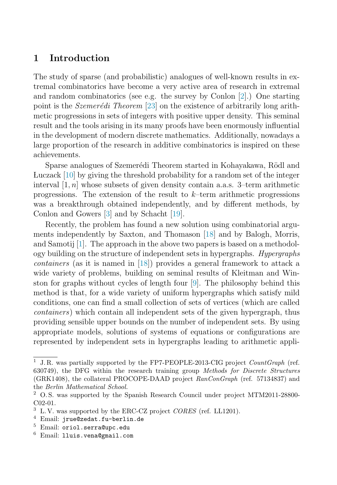# 1 Introduction

The study of sparse (and probabilistic) analogues of well-known results in extremal combinatorics have become a very active area of research in extremal and random combinatorics (see e.g. the survey by Conlon [\[2\]](#page-7-0).) One starting point is the *Szemerédi Theorem* [\[23\]](#page-8-0) on the existence of arbitrarily long arithmetic progressions in sets of integers with positive upper density. This seminal result and the tools arising in its many proofs have been enormously influential in the development of modern discrete mathematics. Additionally, nowadays a large proportion of the research in additive combinatorics is inspired on these achievements.

Sparse analogues of Szemerédi Theorem started in Kohayakawa, Rödl and Luczack [\[10\]](#page-7-1) by giving the threshold probability for a random set of the integer interval  $[1, n]$  whose subsets of given density contain a.a.s. 3–term arithmetic progressions. The extension of the result to  $k$ –term arithmetic progressions was a breakthrough obtained independently, and by different methods, by Conlon and Gowers [\[3\]](#page-7-2) and by Schacht [\[19\]](#page-8-1).

Recently, the problem has found a new solution using combinatorial arguments independently by Saxton, and Thomason [\[18\]](#page-8-2) and by Balogh, Morris, and Samotij [\[1\]](#page-7-3). The approach in the above two papers is based on a methodology building on the structure of independent sets in hypergraphs. Hypergraphs containers (as it is named in [\[18\]](#page-8-2)) provides a general framework to attack a wide variety of problems, building on seminal results of Kleitman and Winston for graphs without cycles of length four [\[9\]](#page-7-4). The philosophy behind this method is that, for a wide variety of uniform hypergraphs which satisfy mild conditions, one can find a small collection of sets of vertices (which are called containers) which contain all independent sets of the given hypergraph, thus providing sensible upper bounds on the number of independent sets. By using appropriate models, solutions of systems of equations or configurations are represented by independent sets in hypergraphs leading to arithmetic appli-

<sup>1</sup> J. R. was partially supported by the FP7-PEOPLE-2013-CIG project *CountGraph* (ref. 630749), the DFG within the research training group *Methods for Discrete Structures* (GRK1408), the collateral PROCOPE-DAAD project *RanConGraph* (ref. 57134837) and the *Berlin Mathematical School*.<br><sup>2</sup> O.S. was supported by the Spanish Research Council under project MTM2011-28800-

C02-01.

<sup>3</sup> L. V. was supported by the ERC-CZ project *CORES* (ref. LL1201).

<sup>4</sup> Email: jrue@zedat.fu-berlin.de

<sup>5</sup> Email: oriol.serra@upc.edu

<sup>6</sup> Email: lluis.vena@gmail.com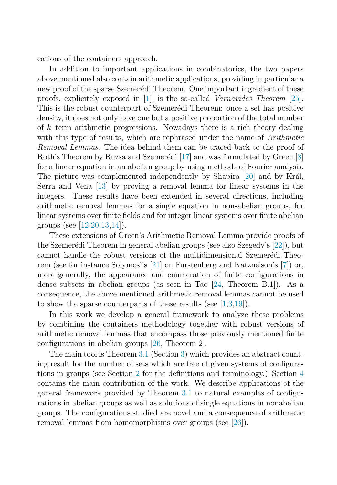cations of the containers approach.

In addition to important applications in combinatorics, the two papers above mentioned also contain arithmetic applications, providing in particular a new proof of the sparse Szemerédi Theorem. One important ingredient of these proofs, explicitely exposed in [\[1\]](#page-7-3), is the so-called Varnavides Theorem [\[25\]](#page-8-3). This is the robust counterpart of Szemerédi Theorem: once a set has positive density, it does not only have one but a positive proportion of the total number of  $k$ -term arithmetic progressions. Nowadays there is a rich theory dealing with this type of results, which are rephrased under the name of *Arithmetic* Removal Lemmas. The idea behind them can be traced back to the proof of Roth's Theorem by Ruzsa and Szemerédi [\[17\]](#page-8-4) and was formulated by Green  $[8]$ for a linear equation in an abelian group by using methods of Fourier analysis. The picture was complemented independently by Shapira  $[20]$  and by Král, Serra and Vena [\[13\]](#page-7-6) by proving a removal lemma for linear systems in the integers. These results have been extended in several directions, including arithmetic removal lemmas for a single equation in non-abelian groups, for linear systems over finite fields and for integer linear systems over finite abelian groups (see [\[12](#page-7-7)[,20,](#page-8-5)[13](#page-7-6)[,14\]](#page-7-8)).

These extensions of Green's Arithmetic Removal Lemma provide proofs of the Szemerédi Theorem in general abelian groups (see also Szegedy's [\[22\]](#page-8-6)), but cannot handle the robust versions of the multidimensional Szemerédi Theorem (see for instance Solymosi's [\[21\]](#page-8-7) on Furstenberg and Katznelson's [\[7\]](#page-7-9)) or, more generally, the appearance and enumeration of finite configurations in dense subsets in abelian groups (as seen in Tao [\[24,](#page-8-8) Theorem B.1]). As a consequence, the above mentioned arithmetic removal lemmas cannot be used to show the sparse counterparts of these results (see [\[1](#page-7-3)[,3,](#page-7-2)[19\]](#page-8-1)).

In this work we develop a general framework to analyze these problems by combining the containers methodology together with robust versions of arithmetic removal lemmas that encompass those previously mentioned finite configurations in abelian groups [\[26,](#page-8-9) Theorem 2].

The main tool is Theorem [3.1](#page-4-0) (Section [3\)](#page-4-1) which provides an abstract counting result for the number of sets which are free of given systems of configurations in groups (see Section [2](#page-3-0) for the definitions and terminology.) Section [4](#page-5-0) contains the main contribution of the work. We describe applications of the general framework provided by Theorem [3.1](#page-4-0) to natural examples of configurations in abelian groups as well as solutions of single equations in nonabelian groups. The configurations studied are novel and a consequence of arithmetic removal lemmas from homomorphisms over groups (see [\[26\]](#page-8-9)).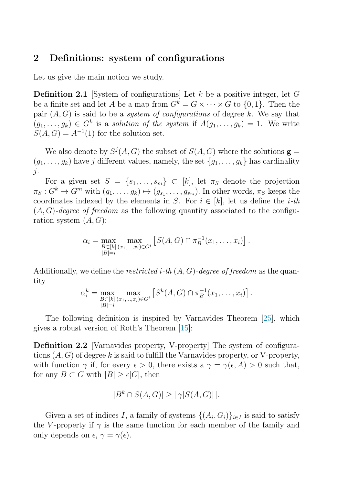## <span id="page-3-0"></span>2 Definitions: system of configurations

Let us give the main notion we study.

**Definition 2.1** [System of configurations] Let k be a positive integer, let G be a finite set and let A be a map from  $G^k = G \times \cdots \times G$  to  $\{0, 1\}$ . Then the pair  $(A, G)$  is said to be a *system of configurations* of degree k. We say that  $(g_1, \ldots, g_k) \in G^k$  is a solution of the system if  $A(g_1, \ldots, g_k) = 1$ . We write  $S(A, G) = A^{-1}(1)$  for the solution set.

We also denote by  $S^j(A, G)$  the subset of  $S(A, G)$  where the solutions  $\mathbf{g} =$  $(g_1, \ldots, g_k)$  have j different values, namely, the set  $\{g_1, \ldots, g_k\}$  has cardinality j.

For a given set  $S = \{s_1, \ldots, s_m\} \subset [k]$ , let  $\pi_S$  denote the projection  $\pi_S : G^k \to G^m$  with  $(g_1, \ldots, g_k) \mapsto (g_{s_1}, \ldots, g_{s_m})$ . In other words,  $\pi_S$  keeps the coordinates indexed by the elements in S. For  $i \in [k]$ , let us define the *i*-th  $(A, G)$ -degree of freedom as the following quantity associated to the configuration system  $(A, G)$ :

$$
\alpha_i = \max_{\substack{B \subset [k] \\ |B|=i}} \max_{(x_1,\ldots,x_i) \in G^i} \left[ S(A,G) \cap \pi_B^{-1}(x_1,\ldots,x_i) \right].
$$

Additionally, we define the *restricted i-th*  $(A, G)$ -degree of freedom as the quantity

$$
\alpha_i^k = \max_{\substack{B \subset [k] \\ |B| = i}} \max_{(x_1, \dots, x_i) \in G^i} \left[ S^k(A, G) \cap \pi_B^{-1}(x_1, \dots, x_i) \right].
$$

The following definition is inspired by Varnavides Theorem [\[25\]](#page-8-3), which gives a robust version of Roth's Theorem [\[15\]](#page-7-10):

Definition 2.2 [Varnavides property, V-property] The system of configurations  $(A, G)$  of degree k is said to fulfill the Varnavides property, or V-property, with function  $\gamma$  if, for every  $\epsilon > 0$ , there exists a  $\gamma = \gamma(\epsilon, A) > 0$  such that, for any  $B \subset G$  with  $|B| \geq \epsilon |G|$ , then

$$
|B^k \cap S(A, G)| \geq \lfloor \gamma |S(A, G)| \rfloor.
$$

Given a set of indices I, a family of systems  $\{(A_i, G_i)\}_{i\in I}$  is said to satisfy the V-property if  $\gamma$  is the same function for each member of the family and only depends on  $\epsilon, \gamma = \gamma(\epsilon)$ .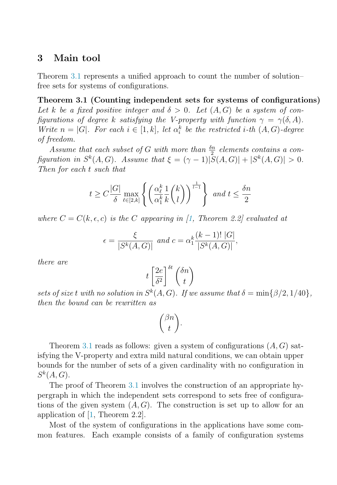#### <span id="page-4-1"></span><span id="page-4-0"></span>3 Main tool

Theorem [3.1](#page-4-0) represents a unified approach to count the number of solution– free sets for systems of configurations.

Theorem 3.1 (Counting independent sets for systems of configurations) Let k be a fixed positive integer and  $\delta > 0$ . Let  $(A, G)$  be a system of configurations of degree k satisfying the V-property with function  $\gamma = \gamma(\delta, A)$ . Write  $n = |G|$ . For each  $i \in [1, k]$ , let  $\alpha_i^k$  be the restricted i-th  $(A, G)$ -degree of freedom.

Assume that each subset of G with more than  $\frac{\delta n}{2}$  elements contains a configuration in  $S^k(A, G)$ . Assume that  $\xi = (\gamma - 1)|S(A, G)| + |S^k(A, G)| > 0$ . Then for each t such that

$$
t \ge C \frac{|G|}{\delta} \max_{\ell \in [2,k]} \left\{ \left( \frac{\alpha_{\ell}^{k}}{\alpha_{1}^{k}} \frac{1}{k} {k \choose l} \right)^{\frac{1}{l-1}} \right\} \text{ and } t \le \frac{\delta n}{2}
$$

where  $C = C(k, \epsilon, c)$  is the C appearing in [\[1,](#page-7-3) Theorem 2.2] evaluated at

$$
\epsilon = \frac{\xi}{|S^k(A, G)|} \text{ and } c = \alpha_1^k \frac{(k-1)! |G|}{|S^k(A, G)|},
$$

there are

$$
t\left[\frac{2e}{\delta^2}\right]^{\delta t}\binom{\delta n}{t}
$$

sets of size t with no solution in  $S^k(A, G)$ . If we assume that  $\delta = \min\{\beta/2, 1/40\},\$ then the bound can be rewritten as

$$
\binom{\beta n}{t}.
$$

Theorem [3.1](#page-4-0) reads as follows: given a system of configurations  $(A, G)$  satisfying the V-property and extra mild natural conditions, we can obtain upper bounds for the number of sets of a given cardinality with no configuration in  $S^k(A, G)$ .

The proof of Theorem [3.1](#page-4-0) involves the construction of an appropriate hypergraph in which the independent sets correspond to sets free of configurations of the given system  $(A, G)$ . The construction is set up to allow for an application of [\[1,](#page-7-3) Theorem 2.2].

Most of the system of configurations in the applications have some common features. Each example consists of a family of configuration systems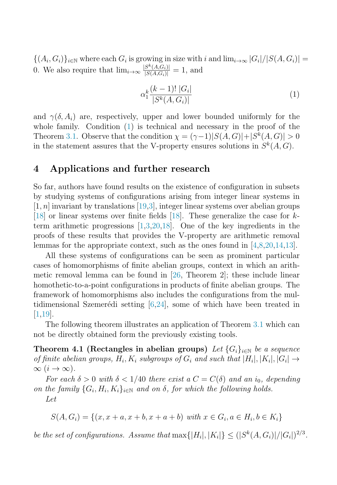${(A_i, G_i)}_{i \in \mathbb{N}}$  where each  $G_i$  is growing in size with i and  $\lim_{i \to \infty} |G_i|/|S(A, G_i)| =$ 0. We also require that  $\lim_{i\to\infty} \frac{|S^k(A, G_i)|}{|S(A, G_i)|} = 1$ , and

<span id="page-5-1"></span>
$$
\alpha_1^k \frac{(k-1)! \, |G_i|}{|S^k(A, G_i)|} \tag{1}
$$

<span id="page-5-0"></span>and  $\gamma(\delta, A_i)$  are, respectively, upper and lower bounded uniformly for the whole family. Condition  $(1)$  is technical and necessary in the proof of the Theorem [3.1.](#page-4-0) Observe that the condition  $\chi = (\gamma - 1)|S(A, G)| + |S^k(A, G)| > 0$ in the statement assures that the V-property ensures solutions in  $S^k(A, G)$ .

#### 4 Applications and further research

So far, authors have found results on the existence of configuration in subsets by studying systems of configurations arising from integer linear systems in  $[1, n]$  invariant by translations  $[19, 3]$  $[19, 3]$ , integer linear systems over abelian groups [\[18\]](#page-8-2) or linear systems over finite fields [\[18\]](#page-8-2). These generalize the case for kterm arithmetic progressions [\[1](#page-7-3)[,3](#page-7-2)[,20,](#page-8-5)[18\]](#page-8-2). One of the key ingredients in the proofs of these results that provides the V-property are arithmetic removal lemmas for the appropriate context, such as the ones found in [\[4](#page-7-11)[,8,](#page-7-5)[20,](#page-8-5)[14](#page-7-8)[,13\]](#page-7-6).

All these systems of configurations can be seen as prominent particular cases of homomorphisms of finite abelian groups, context in which an arithmetic removal lemma can be found in [\[26,](#page-8-9) Theorem 2]; these include linear homothetic-to-a-point configurations in products of finite abelian groups. The framework of homomorphisms also includes the configurations from the multidimensional Szemerédi setting  $[6,24]$  $[6,24]$ , some of which have been treated in [\[1,](#page-7-3)[19\]](#page-8-1).

<span id="page-5-2"></span>The following theorem illustrates an application of Theorem [3.1](#page-4-0) which can not be directly obtained form the previously existing tools.

Theorem 4.1 (Rectangles in abelian groups) Let  $\{G_i\}_{i\in\mathbb{N}}$  be a sequence of finite abelian groups,  $H_i, K_i$  subgroups of  $G_i$  and such that  $|H_i|, |K_i|, |G_i| \rightarrow$  $\infty$   $(i \rightarrow \infty)$ .

For each  $\delta > 0$  with  $\delta < 1/40$  there exist a  $C = C(\delta)$  and an i<sub>0</sub>, depending on the family  $\{G_i, H_i, K_i\}_{i\in\mathbb{N}}$  and on  $\delta$ , for which the following holds. Let

$$
S(A, G_i) = \{(x, x + a, x + b, x + a + b) \text{ with } x \in G_i, a \in H_i, b \in K_i\}
$$

be the set of configurations. Assume that  $\max\{|H_i|, |K_i|\} \leq (|S^k(A, G_i)|/|G_i|)^{2/3}$ .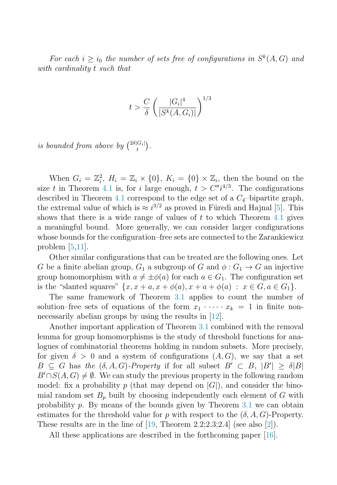For each  $i > i_0$  the number of sets free of configurations in  $S^k(A, G)$  and with cardinality t such that

$$
t > \frac{C}{\delta} \left( \frac{|G_i|^4}{|S^k(A, G_i)|} \right)^{1/3}
$$

is bounded from above by  $\binom{2\delta|G_i|}{t}$ .

When  $G_i = \mathbb{Z}_i^2$ ,  $H_i = \mathbb{Z}_i \times \{0\}$ ,  $K_i = \{0\} \times \mathbb{Z}_i$ , then the bound on the size t in Theorem [4.1](#page-5-2) is, for i large enough,  $t > C''i^{4/3}$ . The configurations described in Theorem [4.1](#page-5-2) correspond to the edge set of a  $C_4$ -bipartite graph, the extremal value of which is  $\approx i^{3/2}$  as proved in Füredi and Hajnal [\[5\]](#page-7-13). This shows that there is a wide range of values of  $t$  to which Theorem [4.1](#page-5-2) gives a meaningful bound. More generally, we can consider larger configurations whose bounds for the configuration–free sets are connected to the Zarankiewicz problem [\[5](#page-7-13)[,11\]](#page-7-14).

Other similar configurations that can be treated are the following ones. Let G be a finite abelian group,  $G_1$  a subgroup of G and  $\phi: G_1 \to G$  an injective group homomorphism with  $a \neq \pm \phi(a)$  for each  $a \in G_1$ . The configuration set is the "slanted squares"  $\{x, x + a, x + \phi(a), x + a + \phi(a) : x \in G, a \in G_1\}.$ 

The same framework of Theorem [3.1](#page-4-0) applies to count the number of solution–free sets of equations of the form  $x_1 \cdot \cdots \cdot x_k = 1$  in finite non-necessarily abelian groups by using the results in [\[12\]](#page-7-7).

Another important application of Theorem [3.1](#page-4-0) combined with the removal lemma for group homomorphisms is the study of threshold functions for analogues of combinatorial theorems holding in random subsets. More precisely, for given  $\delta > 0$  and a system of configurations  $(A, G)$ , we say that a set  $B \subseteq G$  has the  $(\delta, A, G)$ -Property if for all subset  $B' \subset B$ ,  $|B'| \geq \delta |B|$  $B' \cap S(A, G) \neq \emptyset$ . We can study the previous property in the following random model: fix a probability p (that may depend on  $|G|$ ), and consider the binomial random set  $B_p$  built by choosing independently each element of G with probability p. By means of the bounds given by Theorem [3.1](#page-4-0) we can obtain estimates for the threshold value for p with respect to the  $(\delta, A, G)$ -Property. These results are in the line of  $(19,$  Theorem 2.2;2.3;2.4 (see also  $(2)$ ).

All these applications are described in the forthcoming paper [\[16\]](#page-8-10).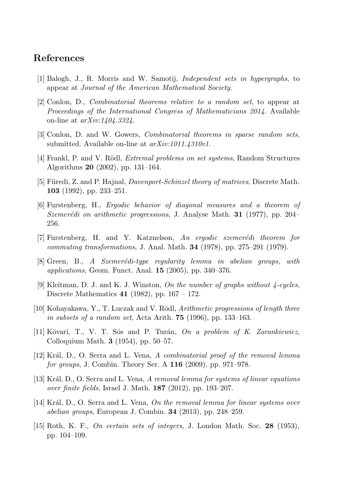## <span id="page-7-3"></span><span id="page-7-0"></span>References

- <span id="page-7-2"></span>[1] Balogh, J., R. Morris and W. Samotij, *Independent sets in hypergraphs*, to appear at *Journal of the American Mathematical Society*.
- <span id="page-7-11"></span>[2] Conlon, D., *Combinatorial theorems relative to a random set*, to appear at *Proceedings of the International Congress of Mathematicians 2014.* Available on-line at *arXiv:1404.3324*.
- <span id="page-7-13"></span>[3] Conlon, D. and W. Gowers, *Combinatorial theorems in sparse random sets*, submitted. Available on-line at *arXiv:1011.4310v1*.
- <span id="page-7-12"></span>[4] Frankl, P. and V. R¨odl, *Extremal problems on set systems*, Random Structures Algorithms 20 (2002), pp. 131–164.
- <span id="page-7-9"></span>[5] Füredi, Z. and P. Hajnal, *Davenport-Schinzel theory of matrices*, Discrete Math. 103 (1992), pp. 233–251.
- <span id="page-7-5"></span>[6] Furstenberg, H., *Ergodic behavior of diagonal measures and a theorem of Szemer´edi on arithmetic progressions*, J. Analyse Math. 31 (1977), pp. 204– 256.
- <span id="page-7-4"></span>[7] Furstenberg, H. and Y. Katznelson, *An ergodic szemer´edi theorem for commuting transformations*, J. Anal. Math. 34 (1978), pp. 275–291 (1979).
- <span id="page-7-1"></span>[8] Green, B., *A Szemerédi-type regularity lemma in abelian groups, with applications*, Geom. Funct. Anal. 15 (2005), pp. 340–376.
- <span id="page-7-14"></span>[9] Kleitman, D. J. and K. J. Winston, *On the number of graphs without 4-cycles*, Discrete Mathematics 41 (1982), pp.  $167 - 172$ .
- <span id="page-7-7"></span>[10] Kohayakawa, Y., T. Luczak and V. R¨odl, *Arithmetic progressions of length three in subsets of a random set*, Acta Arith. 75 (1996), pp. 133–163.
- <span id="page-7-6"></span>[11] K¨ovari, T., V. T. S´os and P. Tur´an, *On a problem of K. Zarankiewicz*, Colloquium Math. 3 (1954), pp. 50–57.
- <span id="page-7-8"></span>[12] Kr´al, D., O. Serra and L. Vena, *A combinatorial proof of the removal lemma for groups*, J. Combin. Theory Ser. A 116 (2009), pp. 971–978.
- <span id="page-7-10"></span>[13] Kr´al, D., O. Serra and L. Vena, *A removal lemma for systems of linear equations over finite fields*, Israel J. Math. 187 (2012), pp. 193–207.
- [14] Kr´al, D., O. Serra and L. Vena, *On the removal lemma for linear systems over abelian groups*, European J. Combin. 34 (2013), pp. 248–259.
- [15] Roth, K. F., *On certain sets of integers*, J. London Math. Soc. 28 (1953), pp. 104–109.